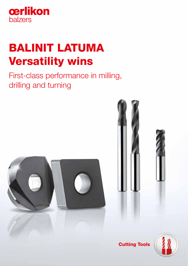

# BALINIT LATUMA Versatility wins

## First-class performance in milling, drilling and turning





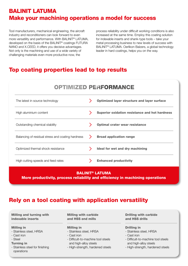## BALINIT LATUMA Make your machining operations a model for success

Tool manufacturers, mechanical engineering, the aircraft industry and reconditioners can look forward to even more versatility and performance. With BALINIT® LATUMA, developed on the basis of the BALINIT® coatings FUTURA NANO and X.CEED, it offers you decisive advantages. Not only is the machining and use of a wide variety of challenging materials even more productive now, the

process reliability under difficult working conditions is also increased at the same time. Employ this coating solution for indexable inserts and shank-type tools – take your metal processing business to new levels of success with BALINIT® LATUMA. Oerlikon Balzers, a global technology leader in hard coatings, helps you on the way.

## Top coating properties lead to top results

| <b>OPTIMIZED PERFORMANCE</b>                      |  |                                                       |  |  |  |  |
|---------------------------------------------------|--|-------------------------------------------------------|--|--|--|--|
| The latest in source technology                   |  | <b>Optimized layer structure and layer surface</b>    |  |  |  |  |
| High aluminium content                            |  | <b>Superior oxidation resistance and hot hardness</b> |  |  |  |  |
| Outstanding chemical stability                    |  | <b>Optimal crater wear resistance</b>                 |  |  |  |  |
| Balancing of residual stress and coating hardness |  | <b>Broad application range</b>                        |  |  |  |  |
| Optimized thermal shock resistance                |  | <b>Ideal for wet and dry machining</b>                |  |  |  |  |
| High cutting speeds and feed rates                |  | <b>Enhanced productivity</b>                          |  |  |  |  |

## BALINIT® LATUMA

More productivity, process reliability and efficiency in machining operations

## Rely on a tool coating with application versatility

Milling and turning with indexable inserts

#### Milling in

- Stainless steel, HRSA
- Cast iron
- Steel
- Turning in
- Stainless steel for finishing operations

Milling with carbide and HSS end mills

### Milling in

- Stainless steel, HRSA
- Cast iron
- Difficult-to-machine tool steels and high-alloy steels
- High-strength, hardened steels

Drilling with carbide and HSS drills

#### Drilling in

- Stainless steel, HRSA
- Cast iron
- Difficult-to-machine tool steels and high-alloy steels
- High-strength, hardened steels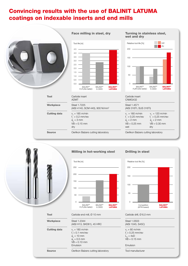## Convincing results with the use of BALINIT LATUMA coatings on indexable inserts and end mills





## Milling in hot-working steel



|  | <b>Workpiec</b> |  |
|--|-----------------|--|
|  |                 |  |
|  |                 |  |

**Cutting data** 

(AISI H13, SKD61), 45 HRC (AISI 1045, S45C)  $\epsilon$  Steel 1.2344

 $v_{0} = 180$  m/min  $f = 0.1$  mm/rev  $a_{\rm p} = 10 \text{ mm}$  $a_e = 0.5$  mm  $V_{\text{B}} = 0.10 \text{ mm}$ Emulsion

**Source C**oerlikon Balzers cutting laboratory **Tool manufacturer** 

### Drilling in steel



#### Tool Carbide end mill, Ø 10 mm Carbide drill, Ø 6,0 mm

Steel 1.0503 (AISI 1045, S45C)  $v_c = 80$  m/min  $f_{*} = 0.25$  mm/rev

 $L_{D} = 4 \times D$  $VB = 0.15$  mm

#### Emulsion